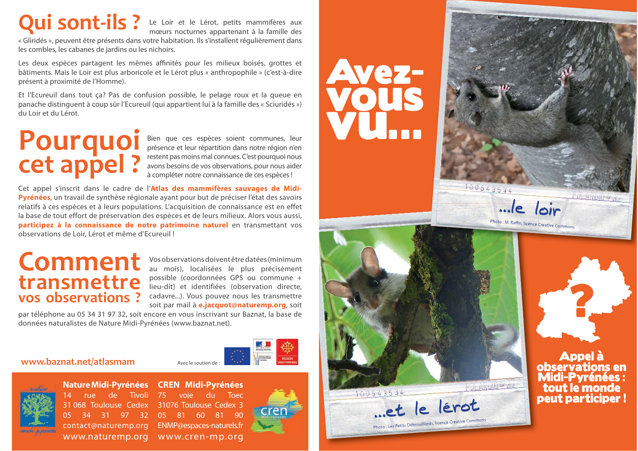### Qui sont-ils ?

Le Loir et le Lérot, petits mammifères aux mœurs nocturnes appartenant à la famille des

« Gliridés », peuvent être présents dans votre habitation. Ils s'installent régulièrement dans les combles, les cabanes de jardins ou les nichoirs.

Les deux espèces partagent les mêmes affinités pour les milieux boisés, grottes et bâtiments. Mais le Loir est plus arboricole et le Lérot plus « anthropophile » (c'est-à-dire présent à proximité de l'Homme).

Et l'Ecureuil dans tout ça? Pas de confusion possible, le pelage roux et la queue en panache distinguent à coup sûr l'Ecureuil (qui appartient lui à la famille des « Sciuridés ») du Loir et du Lérot.

## Pourquoi<br>cet appel ?

Bien que ces espèces soient communes, leur présence et leur répartition dans notre région n'en restent pas moins mal connues. C'est pourquoi nous avons besoins de vos observations, pour nous aider à compléter notre connaissance de ces espèces !

Cet appel s'inscrit dans le cadre de l'Atlas des mammifères sauvages de Midi-Pyrénées, un travail de synthèse régionale ayant pour but de préciser l'état des savoirs relatifs à ces espèces et à leurs populations. L'acquisition de connaissance est en effet la base de tout effort de préservation des espèces et de leurs milieux. Alors vous aussi, participez à la connaissance de notre patrimoine naturel en transmettant vos observations de Loir, Lérot et même d'Ecureuil !

#### **Comment** transmettre vos observations ?

Vos observations doivent être datées (minimum au mois), localisées le plus précisément possible (coordonnées GPS ou commune + lieu-dit) et identifiées (observation directe. cadavre...). Vous pouvez nous les transmettre soit par mail à e.jacquot@naturemp.org, soit

par téléphone au 05 34 31 97 32, soit encore en vous inscrivant sur Baznat, la base de données naturalistes de Nature Midi-Pyrénées (www.baznat.net).

#### www.baznat.net/atlasmam



Nature Midi-Pyrénées **CREN Midi-Pyrénées** rue de Tivoli 75 31 068 Toulouse Cedex 05 34 31 97 32 contact@naturemp.org www.naturemp.org www.cren-mp.org

voie du Toec 31076 Toulouse Cedex 3 05 81 60 81 90 ENMP@espaces-naturels.fr

Avec le soutien de :



# **Avez-**



100543534



**Appel à** observations en<br>Midi-Pyrénées : tout le monde peut participer!